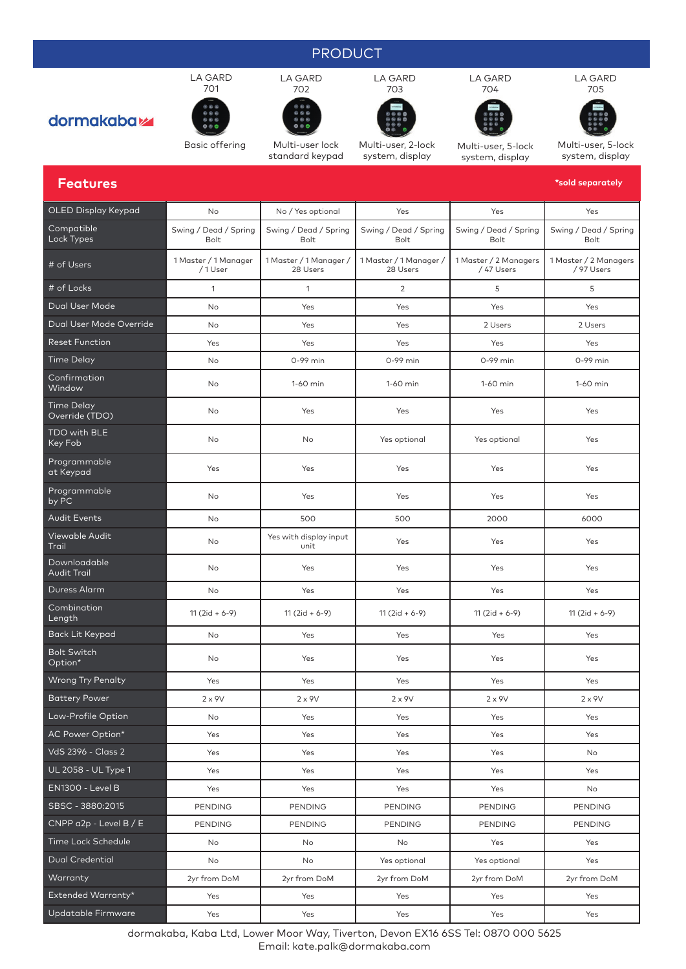### PRODUCT



Multi-user, 2-lock system, display



Multi-user, 5-lock

Multi-user, 5-lock system, display

| <b>Features</b>                     |                                |                                    |                                    |                                    | *sold separately                    |  |
|-------------------------------------|--------------------------------|------------------------------------|------------------------------------|------------------------------------|-------------------------------------|--|
| OLED Display Keypad                 | No                             | No / Yes optional<br>Yes           |                                    | Yes                                | Yes                                 |  |
| Compatible<br>Lock Types            | Swing / Dead / Spring<br>Bolt  | Swing / Dead / Spring<br>Bolt      | Swing / Dead / Spring<br>Bolt      | Swing / Dead / Spring<br>Bolt      | Swing / Dead / Spring<br>Bolt       |  |
| # of Users                          | 1 Master / 1 Manager<br>/1User | 1 Master / 1 Manager /<br>28 Users | 1 Master / 1 Manager /<br>28 Users | 1 Master / 2 Managers<br>/47 Users | 1 Master / 2 Managers<br>/ 97 Users |  |
| # of Locks                          | $\mathbf{1}$                   | 1                                  | $\overline{2}$                     | 5                                  | 5                                   |  |
| Dual User Mode                      | No                             | Yes                                | Yes                                | Yes                                | Yes                                 |  |
| Dual User Mode Override             | No                             | Yes                                | Yes                                | 2 Users                            | 2 Users                             |  |
| <b>Reset Function</b>               | Yes                            | Yes<br>Yes                         |                                    | Yes                                | Yes                                 |  |
| <b>Time Delay</b>                   | No                             | 0-99 min                           | 0-99 min                           | 0-99 min                           | 0-99 min                            |  |
| Confirmation<br>Window              | No                             | 1-60 min                           | 1-60 min                           | 1-60 min                           | 1-60 min                            |  |
| <b>Time Delay</b><br>Override (TDO) | No                             | Yes                                | Yes                                | Yes                                | Yes                                 |  |
| TDO with BLE<br>Key Fob             | No                             | No                                 | Yes optional                       | Yes optional                       | Yes                                 |  |
| Programmable<br>at Keypad           | Yes                            | Yes                                | Yes                                | Yes                                | Yes                                 |  |
| Programmable<br>by PC               | No                             | Yes                                | Yes                                | Yes                                | Yes                                 |  |
| Audit Events                        | No                             | 500                                | 500                                | 2000                               | 6000                                |  |
| Viewable Audit<br>Trail             | No                             | Yes with display input<br>unit     | Yes                                | Yes                                | Yes                                 |  |
| Downloadable<br>Audit Trail         | No                             | Yes                                | Yes                                | Yes                                | Yes                                 |  |
| Duress Alarm                        | No                             | Yes                                | Yes                                | Yes                                | Yes                                 |  |
| Combination<br>Length               | $11(2id + 6-9)$                | $11(2id + 6-9)$                    | $11(2id + 6-9)$                    | $11(2id + 6-9)$                    | $11(2id + 6-9)$                     |  |
| <b>Back Lit Keypad</b>              | No                             | Yes                                | Yes                                | Yes                                | Yes                                 |  |
| <b>Bolt Switch</b><br>Option*       | No                             | Yes                                | Yes                                | Yes                                | Yes                                 |  |
| <b>Wrong Try Penalty</b>            | Yes                            | Yes                                | Yes                                | Yes                                | Yes                                 |  |
| <b>Battery Power</b>                | $2 \times 9V$                  | $2 \times 9V$                      | $2 \times 9V$                      | $2 \times 9V$                      | $2 \times 9V$                       |  |
| Low-Profile Option                  | No                             | Yes                                | Yes                                | Yes                                | Yes                                 |  |
| AC Power Option*                    | Yes                            | Yes                                | Yes                                | Yes                                | Yes                                 |  |
| VdS 2396 - Class 2                  | Yes                            | Yes                                | Yes                                | Yes                                | No                                  |  |
| UL 2058 - UL Type 1                 | Yes                            | Yes                                | Yes                                | Yes                                | Yes                                 |  |
| EN1300 - Level B                    | Yes                            | Yes                                | Yes                                | Yes                                | No                                  |  |
| SBSC - 3880:2015                    | PENDING                        | PENDING                            | PENDING                            | <b>PENDING</b>                     | <b>PENDING</b>                      |  |
| $CNPP$ a2p - Level $B / E$          | PENDING                        | PENDING                            | <b>PENDING</b>                     | PENDING                            | PENDING                             |  |
| Time Lock Schedule                  | No                             | No                                 | No                                 | Yes                                | Yes                                 |  |
| <b>Dual Credential</b>              | No                             | No                                 | Yes optional                       | Yes optional                       | Yes                                 |  |
| Warranty                            | 2yr from DoM                   | 2yr from DoM                       | 2yr from DoM                       | 2yr from DoM                       | 2yr from DoM                        |  |
| Extended Warranty*                  | Yes                            | Yes                                | Yes                                | Yes                                | Yes                                 |  |

 $Co$  $L$ oo

Co<br>Wi

Tin<br>Ov

TD<br>Ke

Pro<br>at

Pro

Vie<br>Trc

Downloadable

Co<br>Lei

Bo<br>Op



LA GARD



Basic offering Multi-user lock standard keypad

LA GARD 702

system, display





Updatable Firmware Yes Yes Yes Yes Yes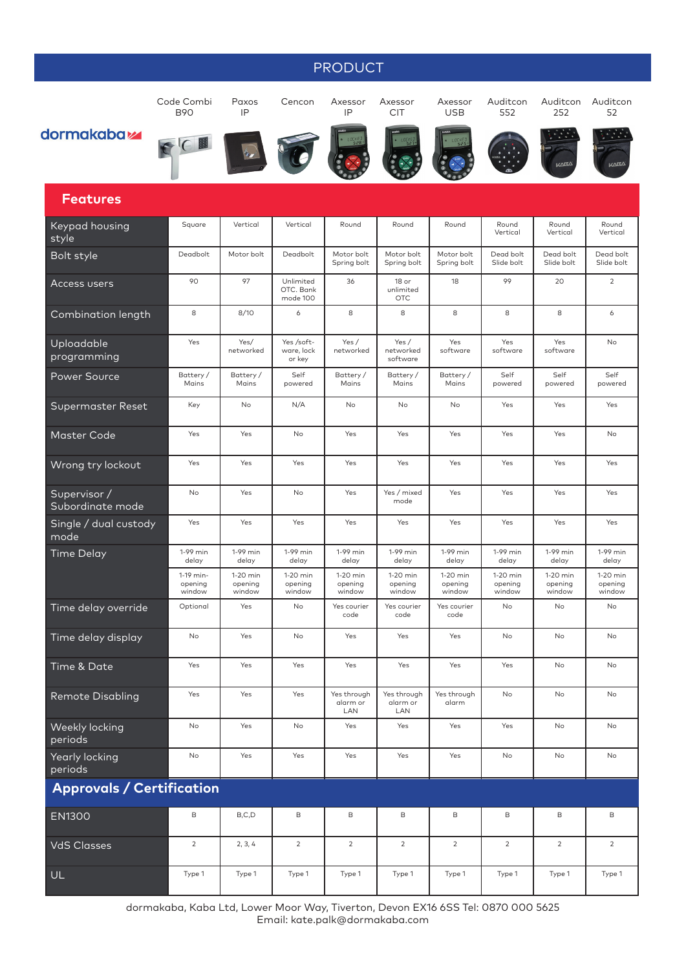## PRODUCT

Code Combi B90

Paxos IP

Cencon Axessor IP

Axessor CIT Axessor

Auditcon 552

252

Auditcon Auditcon 52

## dormakaba<sub>k</sub>

圖  $\sqrt{ }$ 









USB







#### **Features**

| <b>Keypad housing</b><br>style   | Square                         | Vertical                      | Vertical                           | Round                          | Round                            | Round                           | Round<br>Vertical             | Round<br>Vertical             | Round<br>Vertical             |
|----------------------------------|--------------------------------|-------------------------------|------------------------------------|--------------------------------|----------------------------------|---------------------------------|-------------------------------|-------------------------------|-------------------------------|
| Bolt style                       | Deadbolt                       | Motor bolt                    | Deadbolt                           | Motor bolt<br>Spring bolt      | Motor bolt<br>Spring bolt        | Motor bolt<br>Spring bolt       | Dead bolt<br>Slide bolt       | Dead bolt<br>Slide bolt       | Dead bolt<br>Slide bolt       |
| <b>Access users</b>              | 90                             | 97                            | Unlimited<br>OTC, Bank<br>mode 100 | 36                             | 18 or<br>unlimited<br><b>OTC</b> | 18                              | 99                            | 20                            | $\sqrt{2}$                    |
| Combination length               | 8                              | 8/10                          | 6                                  | 8                              | 8                                | 8                               | 8                             | 8                             | 6                             |
| Uploadable<br>programming        | Yes                            | Yes/<br>networked             | Yes /soft-<br>ware, lock<br>or key | Yes /<br>networked             | Yes /<br>networked<br>software   | Yes<br>software                 | Yes<br>software               | Yes<br>software               | No                            |
| <b>Power Source</b>              | Battery/<br>Mains              | Battery/<br>Mains             | Self<br>powered                    | Battery/<br>Mains              | Battery/<br>Mains                | Battery/<br>Mains               | Self<br>powered               | Self<br>powered               | Self<br>powered               |
| Supermaster Reset                | Key                            | No                            | N/A                                | No                             | No                               | No                              | Yes                           | Yes                           | Yes                           |
| <b>Master Code</b>               | Yes                            | Yes                           | No                                 | Yes                            | Yes                              | Yes                             | Yes                           | Yes                           | No                            |
| Wrong try lockout                | Yes                            | Yes                           | Yes                                | Yes                            | Yes                              | Yes                             | Yes                           | Yes                           | Yes                           |
| Supervisor /<br>Subordinate mode | No                             | Yes                           | No                                 | Yes                            | Yes / mixed<br>mode              | Yes                             | Yes                           | Yes                           | Yes                           |
| Single / dual custody<br>mode    | Yes                            | Yes                           | Yes                                | Yes                            | Yes                              | Yes                             | Yes                           | Yes                           | Yes                           |
| Time Delay                       | 1-99 min<br>delay              | 1-99 min<br>delay             | 1-99 min<br>delay                  | 1-99 min<br>delay              | 1-99 min<br>delay                | 1-99 min<br>delay               | 1-99 min<br>delay             | 1-99 min<br>delay             | 1-99 min<br>delay             |
|                                  | 1-19 min-<br>opening<br>window | 1-20 min<br>opening<br>window | 1-20 min<br>opening<br>window      | 1-20 min<br>opening<br>window  | 1-20 min<br>opening<br>window    | $1-20$ min<br>opening<br>window | 1-20 min<br>opening<br>window | 1-20 min<br>opening<br>window | 1-20 min<br>opening<br>window |
| Time delay override              | Optional                       | Yes                           | No                                 | Yes courier<br>code            | Yes courier<br>code              | Yes courier<br>code             | No                            | No                            | No                            |
| Time delay display               | No                             | Yes                           | No                                 | Yes                            | Yes                              | Yes                             | No                            | No                            | No                            |
| Time & Date                      | Yes                            | Yes                           | Yes                                | Yes                            | Yes                              | Yes                             | Yes                           | No                            | No                            |
| <b>Remote Disabling</b>          | Yes                            | Yes                           | Yes                                | Yes through<br>alarm or<br>LAN | Yes through<br>alarm or<br>LAN   | Yes through<br>alarm            | No                            | No                            | No                            |
| Weekly locking<br>periods        | No                             | Yes                           | No                                 | Yes                            | Yes                              | Yes                             | Yes                           | No                            | No                            |
| Yearly locking<br>periods        | No                             | Yes                           | Yes                                | Yes                            | Yes                              | Yes                             | No                            | No                            | No                            |
| <b>Approvals / Certification</b> |                                |                               |                                    |                                |                                  |                                 |                               |                               |                               |
| <b>EN1300</b>                    | $\mathsf B$                    | B, C, D                       | B                                  | B                              | B                                | B                               | $\mathsf B$                   | $\mathsf B$                   | B                             |
| <b>VdS Classes</b>               | $\overline{2}$                 | 2, 3, 4                       | $\overline{2}$                     | $\overline{2}$                 | $\overline{2}$                   | $\overline{2}$                  | $\overline{2}$                | $\overline{2}$                | $\overline{2}$                |
| UL                               | Type 1                         | Type 1                        | Type 1                             | Type 1                         | Type 1                           | Type 1                          | Type 1                        | Type 1                        | Type 1                        |